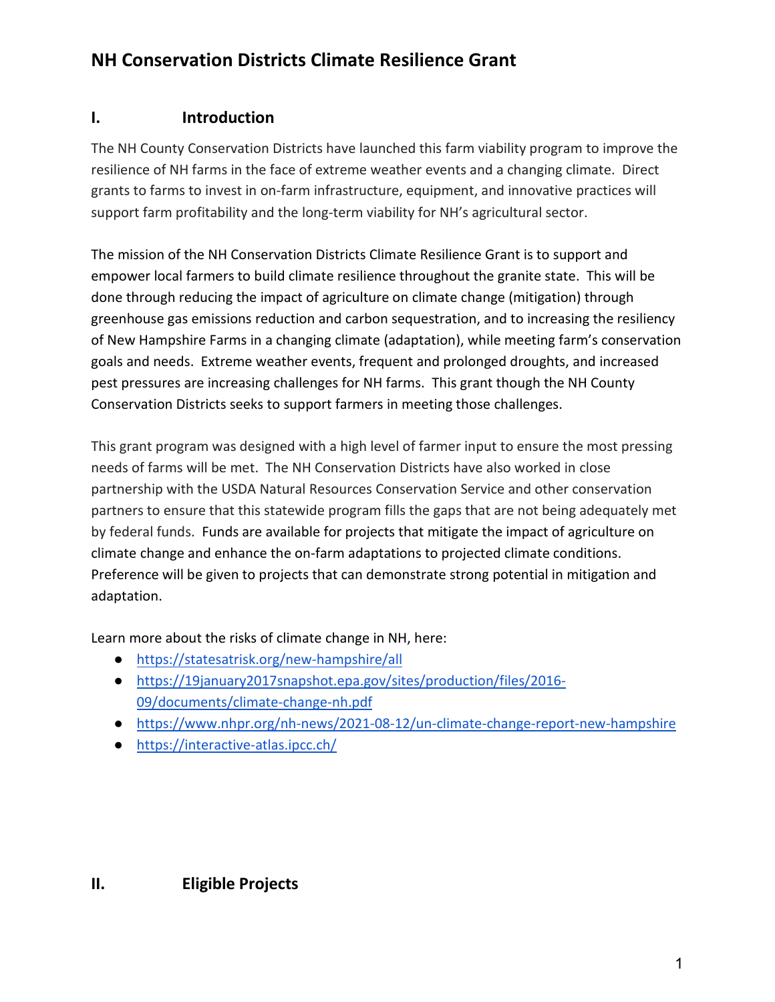# **NH Conservation Districts Climate Resilience Grant**

## **I. Introduction**

The NH County Conservation Districts have launched this farm viability program to improve the resilience of NH farms in the face of extreme weather events and a changing climate. Direct grants to farms to invest in on-farm infrastructure, equipment, and innovative practices will support farm profitability and the long-term viability for NH's agricultural sector.

The mission of the NH Conservation Districts Climate Resilience Grant is to support and empower local farmers to build climate resilience throughout the granite state. This will be done through reducing the impact of agriculture on climate change (mitigation) through greenhouse gas emissions reduction and carbon sequestration, and to increasing the resiliency of New Hampshire Farms in a changing climate (adaptation), while meeting farm's conservation goals and needs. Extreme weather events, frequent and prolonged droughts, and increased pest pressures are increasing challenges for NH farms. This grant though the NH County Conservation Districts seeks to support farmers in meeting those challenges.

This grant program was designed with a high level of farmer input to ensure the most pressing needs of farms will be met. The NH Conservation Districts have also worked in close partnership with the USDA Natural Resources Conservation Service and other conservation partners to ensure that this statewide program fills the gaps that are not being adequately met by federal funds. Funds are available for projects that mitigate the impact of agriculture on climate change and enhance the on-farm adaptations to projected climate conditions. Preference will be given to projects that can demonstrate strong potential in mitigation and adaptation.

Learn more about the risks of climate change in NH, here:

- <https://statesatrisk.org/new-hampshire/all>
- [https://19january2017snapshot.epa.gov/sites/production/files/2016-](https://19january2017snapshot.epa.gov/sites/production/files/2016-09/documents/climate-change-nh.pdf) [09/documents/climate-change-nh.pdf](https://19january2017snapshot.epa.gov/sites/production/files/2016-09/documents/climate-change-nh.pdf)
- <https://www.nhpr.org/nh-news/2021-08-12/un-climate-change-report-new-hampshire>
- <https://interactive-atlas.ipcc.ch/>

**II. Eligible Projects**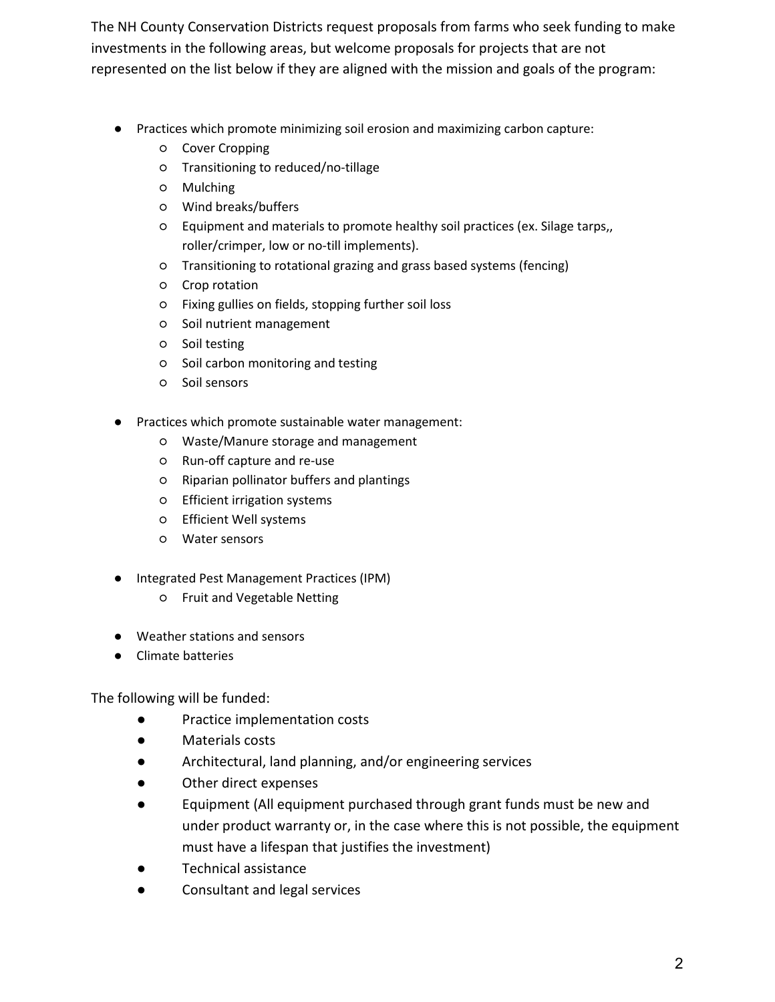The NH County Conservation Districts request proposals from farms who seek funding to make investments in the following areas, but welcome proposals for projects that are not represented on the list below if they are aligned with the mission and goals of the program:

- Practices which promote minimizing soil erosion and maximizing carbon capture:
	- Cover Cropping
	- Transitioning to reduced/no-tillage
	- Mulching
	- Wind breaks/buffers
	- Equipment and materials to promote healthy soil practices (ex. Silage tarps,, roller/crimper, low or no-till implements).
	- Transitioning to rotational grazing and grass based systems (fencing)
	- Crop rotation
	- Fixing gullies on fields, stopping further soil loss
	- Soil nutrient management
	- Soil testing
	- Soil carbon monitoring and testing
	- Soil sensors
- Practices which promote sustainable water management:
	- Waste/Manure storage and management
	- Run-off capture and re-use
	- Riparian pollinator buffers and plantings
	- Efficient irrigation systems
	- Efficient Well systems
	- Water sensors
- Integrated Pest Management Practices (IPM)
	- Fruit and Vegetable Netting
- Weather stations and sensors
- Climate batteries

The following will be funded:

- Practice implementation costs
- Materials costs
- Architectural, land planning, and/or engineering services
- Other direct expenses
- Equipment (All equipment purchased through grant funds must be new and under product warranty or, in the case where this is not possible, the equipment must have a lifespan that justifies the investment)
- Technical assistance
- Consultant and legal services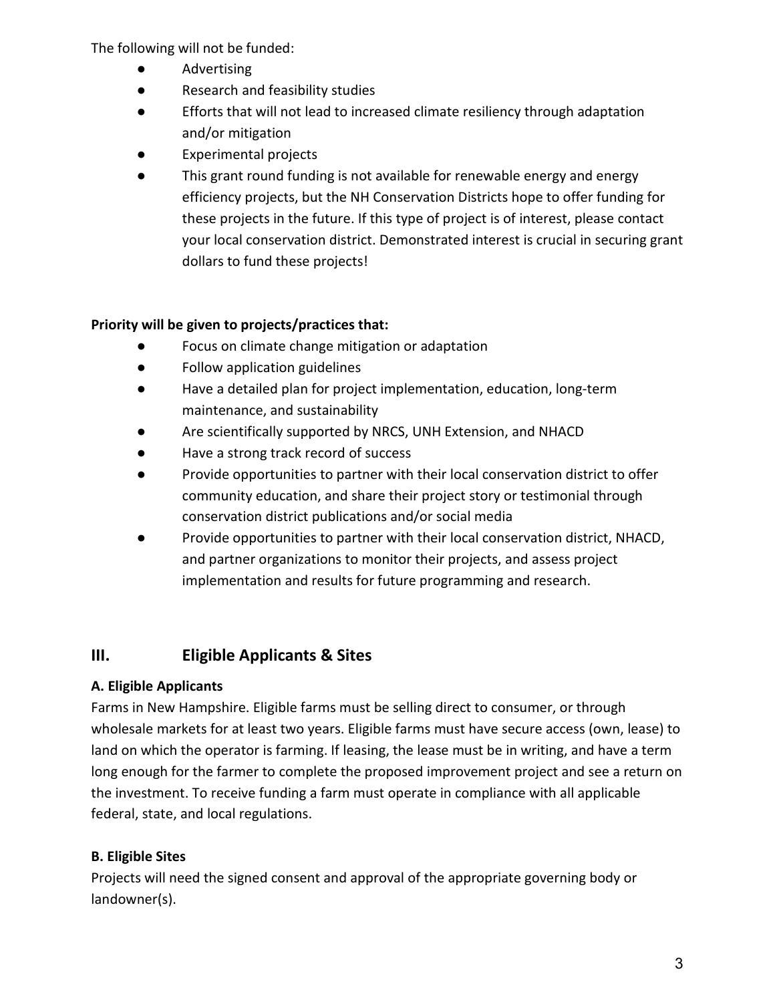The following will not be funded:

- Advertising
- Research and feasibility studies
- Efforts that will not lead to increased climate resiliency through adaptation and/or mitigation
- **Experimental projects**
- This grant round funding is not available for renewable energy and energy efficiency projects, but the NH Conservation Districts hope to offer funding for these projects in the future. If this type of project is of interest, please contact your local conservation district. Demonstrated interest is crucial in securing grant dollars to fund these projects!

### **Priority will be given to projects/practices that:**

- Focus on climate change mitigation or adaptation
- Follow application guidelines
- Have a detailed plan for project implementation, education, long-term maintenance, and sustainability
- Are scientifically supported by NRCS, UNH Extension, and NHACD
- Have a strong track record of success
- Provide opportunities to partner with their local conservation district to offer community education, and share their project story or testimonial through conservation district publications and/or social media
- Provide opportunities to partner with their local conservation district, NHACD, and partner organizations to monitor their projects, and assess project implementation and results for future programming and research.

# **III. Eligible Applicants & Sites**

### **A. Eligible Applicants**

Farms in New Hampshire. Eligible farms must be selling direct to consumer, or through wholesale markets for at least two years. Eligible farms must have secure access (own, lease) to land on which the operator is farming. If leasing, the lease must be in writing, and have a term long enough for the farmer to complete the proposed improvement project and see a return on the investment. To receive funding a farm must operate in compliance with all applicable federal, state, and local regulations.

# **B. Eligible Sites**

Projects will need the signed consent and approval of the appropriate governing body or landowner(s).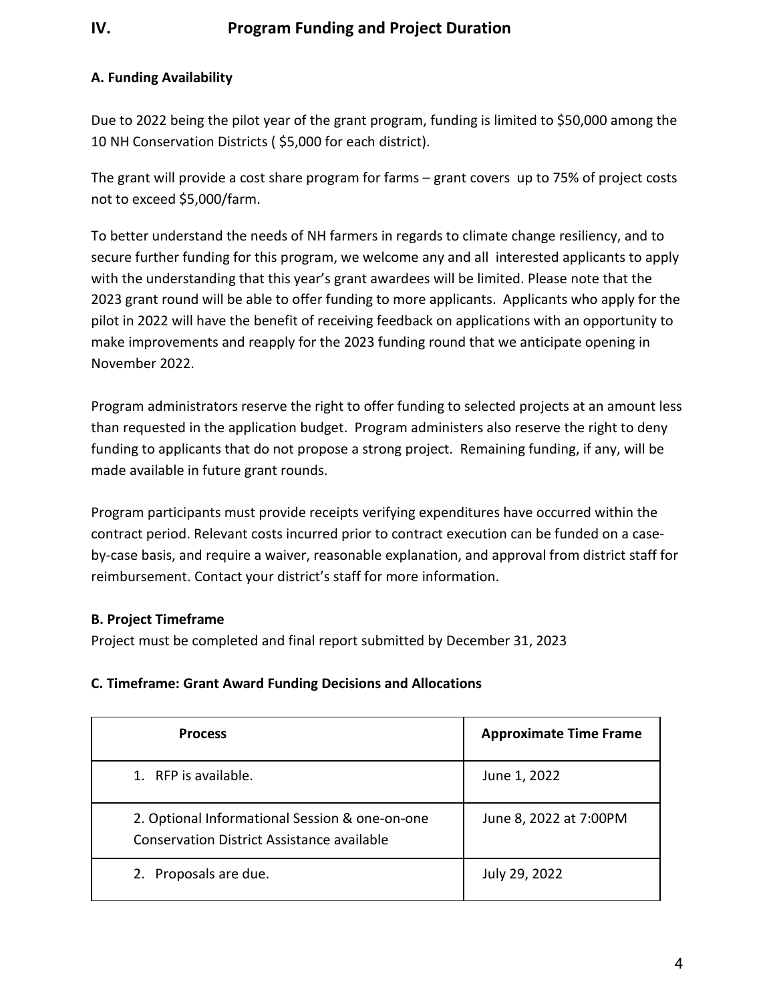# **IV. Program Funding and Project Duration**

#### **A. Funding Availability**

Due to 2022 being the pilot year of the grant program, funding is limited to \$50,000 among the 10 NH Conservation Districts ( \$5,000 for each district).

The grant will provide a cost share program for farms – grant covers up to 75% of project costs not to exceed \$5,000/farm.

To better understand the needs of NH farmers in regards to climate change resiliency, and to secure further funding for this program, we welcome any and all interested applicants to apply with the understanding that this year's grant awardees will be limited. Please note that the 2023 grant round will be able to offer funding to more applicants. Applicants who apply for the pilot in 2022 will have the benefit of receiving feedback on applications with an opportunity to make improvements and reapply for the 2023 funding round that we anticipate opening in November 2022.

Program administrators reserve the right to offer funding to selected projects at an amount less than requested in the application budget. Program administers also reserve the right to deny funding to applicants that do not propose a strong project. Remaining funding, if any, will be made available in future grant rounds.

Program participants must provide receipts verifying expenditures have occurred within the contract period. Relevant costs incurred prior to contract execution can be funded on a caseby-case basis, and require a waiver, reasonable explanation, and approval from district staff for reimbursement. Contact your district's staff for more information.

#### **B. Project Timeframe**

Project must be completed and final report submitted by December 31, 2023

#### **C. Timeframe: Grant Award Funding Decisions and Allocations**

| <b>Process</b>                                                                               | <b>Approximate Time Frame</b> |
|----------------------------------------------------------------------------------------------|-------------------------------|
| 1. RFP is available.                                                                         | June 1, 2022                  |
| 2. Optional Informational Session & one-on-one<br>Conservation District Assistance available | June 8, 2022 at 7:00PM        |
| 2. Proposals are due.                                                                        | July 29, 2022                 |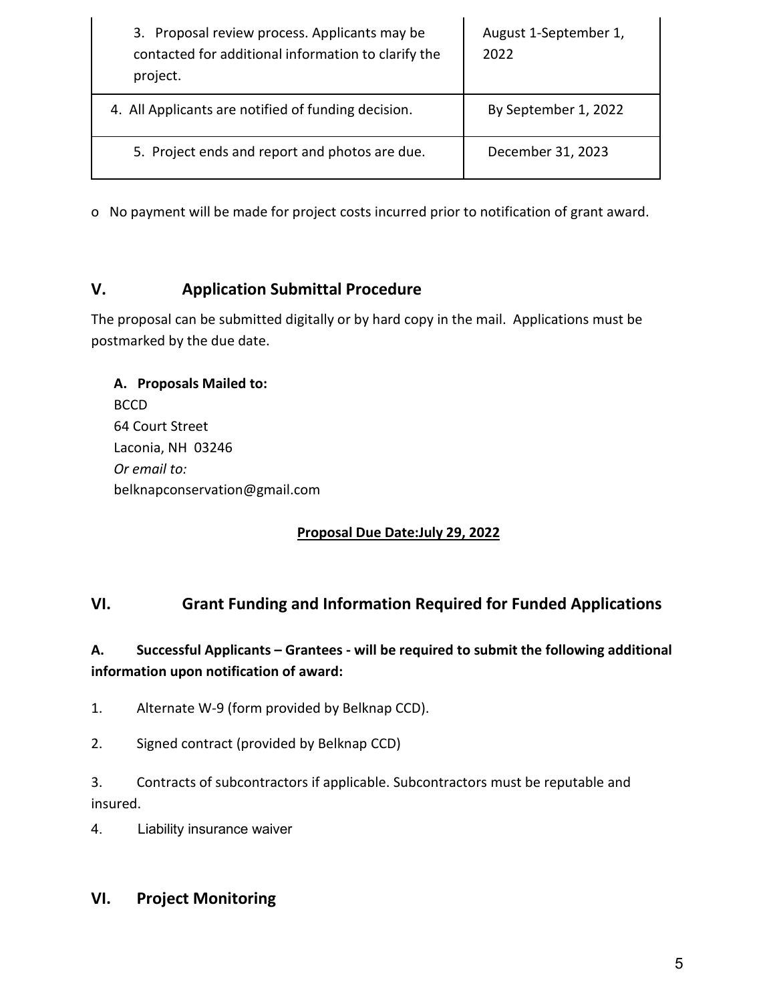| 3. Proposal review process. Applicants may be<br>contacted for additional information to clarify the<br>project. | August 1-September 1,<br>2022 |
|------------------------------------------------------------------------------------------------------------------|-------------------------------|
| 4. All Applicants are notified of funding decision.                                                              | By September 1, 2022          |
| 5. Project ends and report and photos are due.                                                                   | December 31, 2023             |

o No payment will be made for project costs incurred prior to notification of grant award.

# **V. Application Submittal Procedure**

The proposal can be submitted digitally or by hard copy in the mail. Applications must be postmarked by the due date.

| A. Proposals Mailed to:       |
|-------------------------------|
| <b>BCCD</b>                   |
| 64 Court Street               |
| Laconia, NH 03246             |
| Or email to:                  |
| belknapconservation@gmail.com |

### **Proposal Due Date:July 29, 2022**

# **VI. Grant Funding and Information Required for Funded Applications**

## **A. Successful Applicants – Grantees - will be required to submit the following additional information upon notification of award:**

1. Alternate W-9 (form provided by Belknap CCD).

2. Signed contract (provided by Belknap CCD)

3. Contracts of subcontractors if applicable. Subcontractors must be reputable and insured.

4. Liability insurance waiver

### **VI. Project Monitoring**